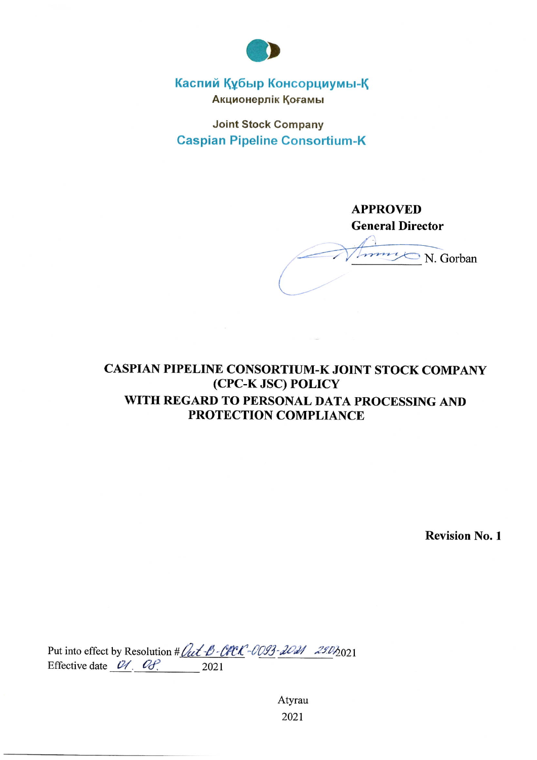

# Каспий Құбыр Консорциумы-Қ Акционерлік Қоғамы

**Joint Stock Company Caspian Pipeline Consortium-K** 

# **APPROVED General Director**

Immy N. Gorban

# CASPIAN PIPELINE CONSORTIUM-K JOINT STOCK COMPANY (CPC-K JSC) POLICY WITH REGARD TO PERSONAL DATA PROCESSING AND PROTECTION COMPLIANCE

**Revision No. 1** 

Put into effect by Resolution # *Out -B-CPCK-0093-2021 2902*021 Effective date  $04.08$ ,  $2021$ 

> Atyrau 2021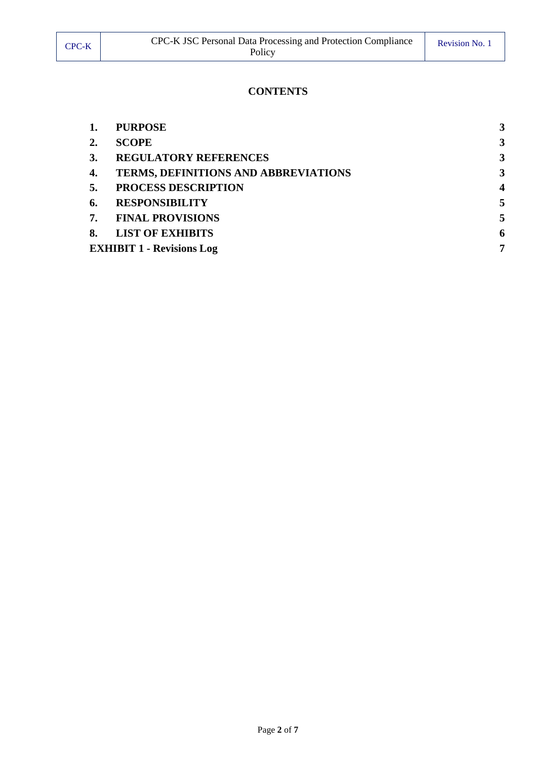|                                  | <b>PURPOSE</b>                              |                         |
|----------------------------------|---------------------------------------------|-------------------------|
|                                  | <b>SCOPE</b>                                | 3                       |
| 3.                               | <b>REGULATORY REFERENCES</b>                | 3                       |
| 4.                               | <b>TERMS, DEFINITIONS AND ABBREVIATIONS</b> | 3                       |
| 5.                               | PROCESS DESCRIPTION                         | $\overline{\mathbf{4}}$ |
| 6.                               | <b>RESPONSIBILITY</b>                       |                         |
| 7.                               | <b>FINAL PROVISIONS</b>                     |                         |
| 8.                               | <b>LIST OF EXHIBITS</b>                     | 6                       |
| <b>EXHIBIT 1 - Revisions Log</b> |                                             |                         |
|                                  |                                             |                         |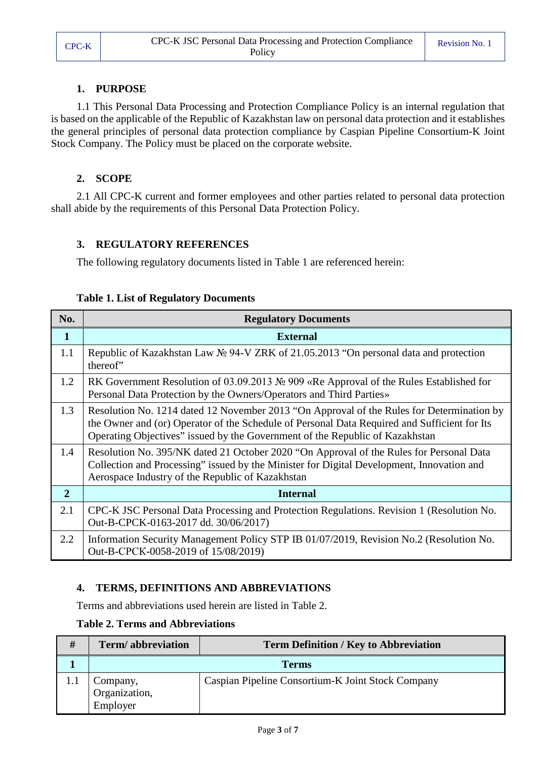#### **1. PURPOSE**

<span id="page-2-0"></span>1.1 This Personal Data Processing and Protection Compliance Policy is an internal regulation that is based on the applicable of the Republic of Kazakhstan law on personal data protection and it establishes the general principles of personal data protection compliance by Caspian Pipeline Consortium-K Joint Stock Company. The Policy must be placed on the corporate website.

### **2. SCOPE**

<span id="page-2-1"></span>2.1 All CPC-K current and former employees and other parties related to personal data protection shall abide by the requirements of this Personal Data Protection Policy.

#### <span id="page-2-2"></span>**3. REGULATORY REFERENCES**

The following regulatory documents listed in Table 1 are referenced herein:

|  | <b>Table 1. List of Regulatory Documents</b> |  |
|--|----------------------------------------------|--|
|  |                                              |  |

| No.            | <b>Regulatory Documents</b>                                                                                                                                                                                                                                               |  |  |
|----------------|---------------------------------------------------------------------------------------------------------------------------------------------------------------------------------------------------------------------------------------------------------------------------|--|--|
| $\mathbf{1}$   | <b>External</b>                                                                                                                                                                                                                                                           |  |  |
| 1.1            | Republic of Kazakhstan Law $\mathcal{N} \cong 94$ -V ZRK of 21.05.2013 "On personal data and protection<br>thereof"                                                                                                                                                       |  |  |
| 1.2            | RK Government Resolution of 03.09.2013 № 909 «Re Approval of the Rules Established for<br>Personal Data Protection by the Owners/Operators and Third Parties»                                                                                                             |  |  |
| 1.3            | Resolution No. 1214 dated 12 November 2013 "On Approval of the Rules for Determination by<br>the Owner and (or) Operator of the Schedule of Personal Data Required and Sufficient for Its<br>Operating Objectives" issued by the Government of the Republic of Kazakhstan |  |  |
| 1.4            | Resolution No. 395/NK dated 21 October 2020 "On Approval of the Rules for Personal Data<br>Collection and Processing" issued by the Minister for Digital Development, Innovation and<br>Aerospace Industry of the Republic of Kazakhstan                                  |  |  |
| $\overline{2}$ | <b>Internal</b>                                                                                                                                                                                                                                                           |  |  |
| 2.1            | CPC-K JSC Personal Data Processing and Protection Regulations. Revision 1 (Resolution No.<br>Out-B-CPCK-0163-2017 dd. 30/06/2017)                                                                                                                                         |  |  |
| 2.2            | Information Security Management Policy STP IB 01/07/2019, Revision No.2 (Resolution No.<br>Out-B-CPCK-0058-2019 of 15/08/2019)                                                                                                                                            |  |  |

## <span id="page-2-3"></span>**4. TERMS, DEFINITIONS AND ABBREVIATIONS**

Terms and abbreviations used herein are listed in Table 2.

#### **Table 2. Terms and Abbreviations**

| # | Term/abbreviation                     | <b>Term Definition / Key to Abbreviation</b>      |  |  |  |
|---|---------------------------------------|---------------------------------------------------|--|--|--|
|   | <b>Terms</b>                          |                                                   |  |  |  |
|   | Company,<br>Organization,<br>Employer | Caspian Pipeline Consortium-K Joint Stock Company |  |  |  |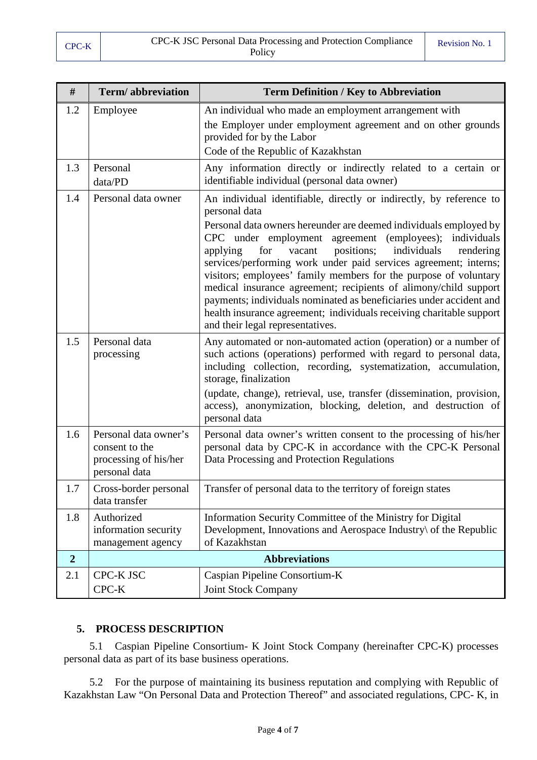| #              | Term/abbreviation                                                                 | <b>Term Definition / Key to Abbreviation</b>                                                                                                                                                                                                                                                                                                                                                                                                                                                                                                                                                                                                                                                  |
|----------------|-----------------------------------------------------------------------------------|-----------------------------------------------------------------------------------------------------------------------------------------------------------------------------------------------------------------------------------------------------------------------------------------------------------------------------------------------------------------------------------------------------------------------------------------------------------------------------------------------------------------------------------------------------------------------------------------------------------------------------------------------------------------------------------------------|
| 1.2            | Employee                                                                          | An individual who made an employment arrangement with<br>the Employer under employment agreement and on other grounds<br>provided for by the Labor<br>Code of the Republic of Kazakhstan                                                                                                                                                                                                                                                                                                                                                                                                                                                                                                      |
| 1.3            | Personal<br>data/PD                                                               | Any information directly or indirectly related to a certain or<br>identifiable individual (personal data owner)                                                                                                                                                                                                                                                                                                                                                                                                                                                                                                                                                                               |
| 1.4            | Personal data owner                                                               | An individual identifiable, directly or indirectly, by reference to<br>personal data<br>Personal data owners hereunder are deemed individuals employed by<br>CPC under employment agreement (employees);<br>individuals<br>positions;<br>individuals<br>applying<br>for<br>vacant<br>rendering<br>services/performing work under paid services agreement; interns;<br>visitors; employees' family members for the purpose of voluntary<br>medical insurance agreement; recipients of alimony/child support<br>payments; individuals nominated as beneficiaries under accident and<br>health insurance agreement; individuals receiving charitable support<br>and their legal representatives. |
| 1.5            | Personal data<br>processing                                                       | Any automated or non-automated action (operation) or a number of<br>such actions (operations) performed with regard to personal data,<br>including collection, recording, systematization, accumulation,<br>storage, finalization<br>(update, change), retrieval, use, transfer (dissemination, provision,<br>access), anonymization, blocking, deletion, and destruction of<br>personal data                                                                                                                                                                                                                                                                                                 |
| 1.6            | Personal data owner's<br>consent to the<br>processing of his/her<br>personal data | Personal data owner's written consent to the processing of his/her<br>personal data by CPC-K in accordance with the CPC-K Personal<br>Data Processing and Protection Regulations                                                                                                                                                                                                                                                                                                                                                                                                                                                                                                              |
| 1.7            | Cross-border personal<br>data transfer                                            | Transfer of personal data to the territory of foreign states                                                                                                                                                                                                                                                                                                                                                                                                                                                                                                                                                                                                                                  |
| 1.8            | Authorized<br>information security<br>management agency                           | Information Security Committee of the Ministry for Digital<br>Development, Innovations and Aerospace Industry\ of the Republic<br>of Kazakhstan                                                                                                                                                                                                                                                                                                                                                                                                                                                                                                                                               |
| $\overline{2}$ |                                                                                   | <b>Abbreviations</b>                                                                                                                                                                                                                                                                                                                                                                                                                                                                                                                                                                                                                                                                          |
| 2.1            | CPC-K JSC<br>CPC-K                                                                | Caspian Pipeline Consortium-K<br><b>Joint Stock Company</b>                                                                                                                                                                                                                                                                                                                                                                                                                                                                                                                                                                                                                                   |

## **5. PROCESS DESCRIPTION**

<span id="page-3-0"></span>5.1 Caspian Pipeline Consortium- K Joint Stock Company (hereinafter CPC-K) processes personal data as part of its base business operations.

5.2 For the purpose of maintaining its business reputation and complying with Republic of Kazakhstan Law "On Personal Data and Protection Thereof" and associated regulations, CPC- K, in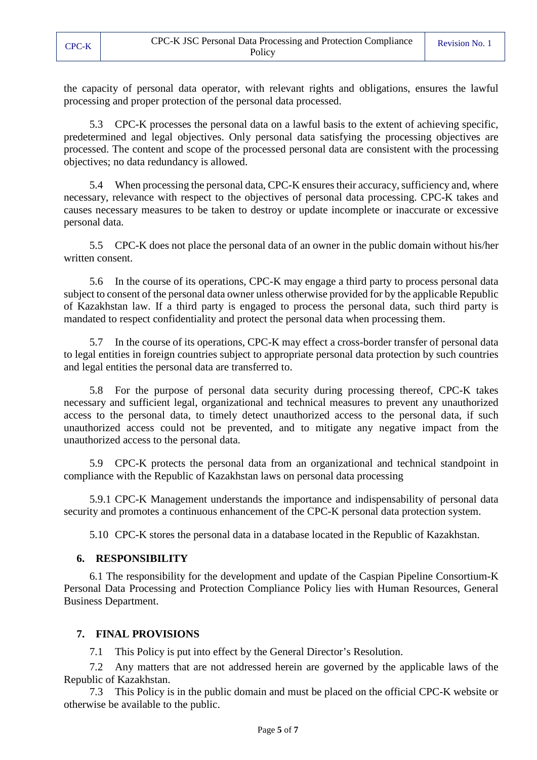the capacity of personal data operator, with relevant rights and obligations, ensures the lawful processing and proper protection of the personal data processed.

5.3 CPC-K processes the personal data on a lawful basis to the extent of achieving specific, predetermined and legal objectives. Only personal data satisfying the processing objectives are processed. The content and scope of the processed personal data are consistent with the processing objectives; no data redundancy is allowed.

5.4 When processing the personal data, CPC-K ensures their accuracy, sufficiency and, where necessary, relevance with respect to the objectives of personal data processing. CPC-K takes and causes necessary measures to be taken to destroy or update incomplete or inaccurate or excessive personal data.

5.5 CPC-K does not place the personal data of an owner in the public domain without his/her written consent.

5.6 In the course of its operations, CPC-K may engage a third party to process personal data subject to consent of the personal data owner unless otherwise provided for by the applicable Republic of Kazakhstan law. If a third party is engaged to process the personal data, such third party is mandated to respect confidentiality and protect the personal data when processing them.

5.7 In the course of its operations, CPC-K may effect a cross-border transfer of personal data to legal entities in foreign countries subject to appropriate personal data protection by such countries and legal entities the personal data are transferred to.

5.8 For the purpose of personal data security during processing thereof, CPC-K takes necessary and sufficient legal, organizational and technical measures to prevent any unauthorized access to the personal data, to timely detect unauthorized access to the personal data, if such unauthorized access could not be prevented, and to mitigate any negative impact from the unauthorized access to the personal data.

5.9 CPC-K protects the personal data from an organizational and technical standpoint in compliance with the Republic of Kazakhstan laws on personal data processing

5.9.1 CPC-K Management understands the importance and indispensability of personal data security and promotes a continuous enhancement of the CPC-K personal data protection system.

5.10 CPC-K stores the personal data in a database located in the Republic of Kazakhstan.

#### **6. RESPONSIBILITY**

<span id="page-4-0"></span>6.1 The responsibility for the development and update of the Caspian Pipeline Consortium-K Personal Data Processing and Protection Compliance Policy lies with Human Resources, General Business Department.

#### <span id="page-4-1"></span>**7. FINAL PROVISIONS**

7.1 This Policy is put into effect by the General Director's Resolution.

7.2 Any matters that are not addressed herein are governed by the applicable laws of the Republic of Kazakhstan.

7.3 This Policy is in the public domain and must be placed on the official CPC-K website or otherwise be available to the public.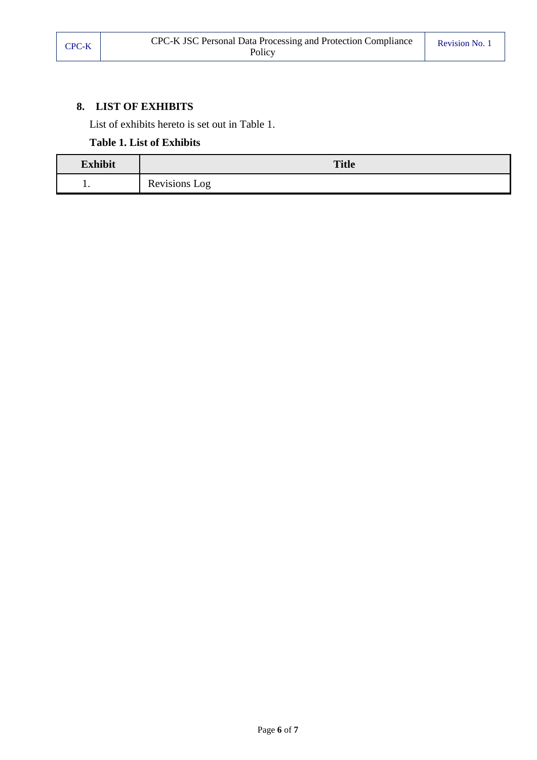# <span id="page-5-0"></span>**8. LIST OF EXHIBITS**

List of exhibits hereto is set out in [Table](#page-5-1) 1.

# **Table 1. List of Exhibits**

<span id="page-5-1"></span>

| <b>Exhibit</b> | <b>Title</b>  |  |  |
|----------------|---------------|--|--|
| . .            | Revisions Log |  |  |